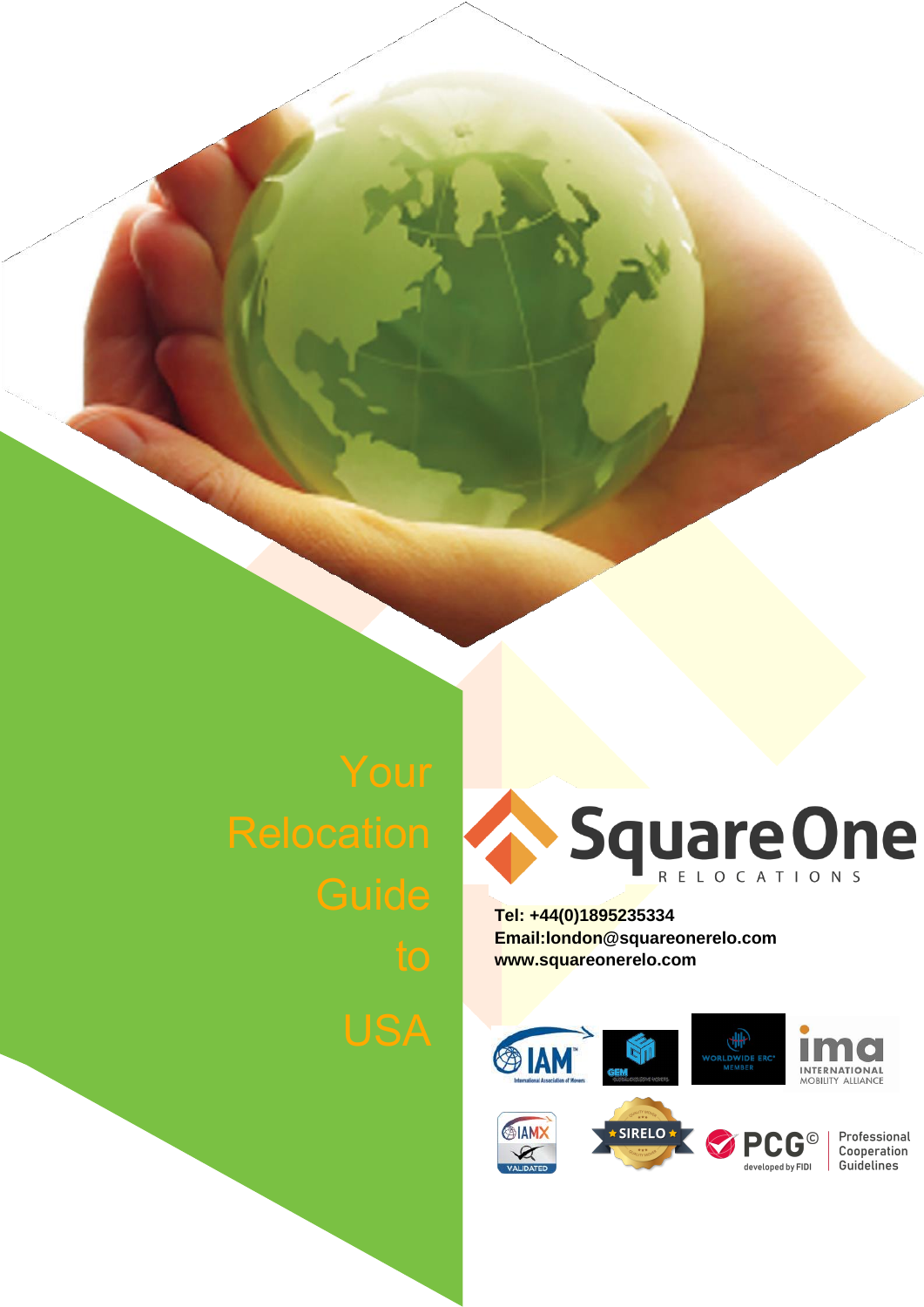

**Tel: +44(0)1895235334 [Email:london@squareonerelo.com](mailto:london@squareonerelo.com) [www.squareonerelo.com](http://www.squareonerelo.com/)**

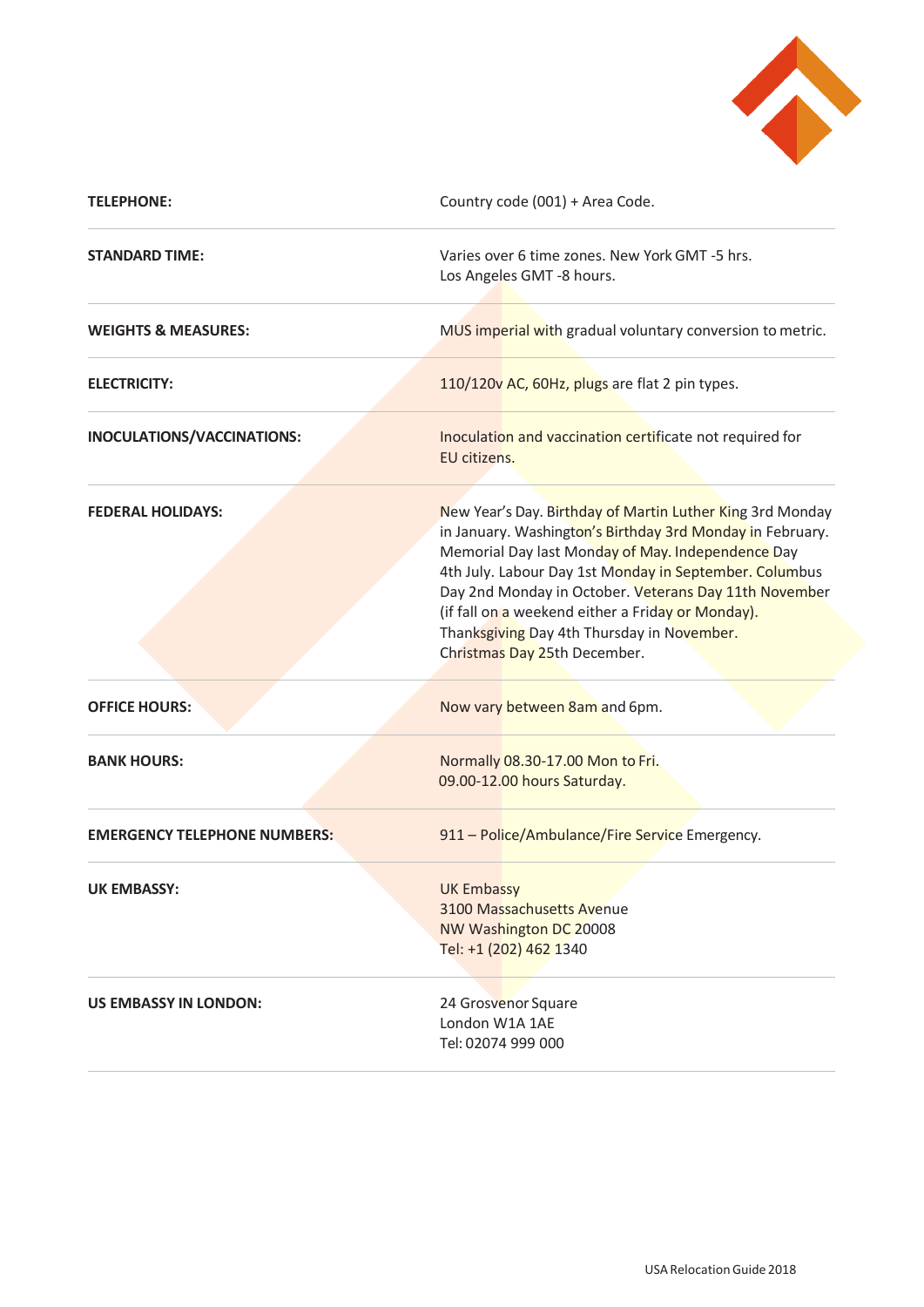

| <b>TELEPHONE:</b>                   | Country code (001) + Area Code.                                                                                                                                                                                                                                                                                                                                                                                                   |
|-------------------------------------|-----------------------------------------------------------------------------------------------------------------------------------------------------------------------------------------------------------------------------------------------------------------------------------------------------------------------------------------------------------------------------------------------------------------------------------|
| <b>STANDARD TIME:</b>               | Varies over 6 time zones. New York GMT -5 hrs.<br>Los Angeles GMT -8 hours.                                                                                                                                                                                                                                                                                                                                                       |
| <b>WEIGHTS &amp; MEASURES:</b>      | MUS imperial with gradual voluntary conversion to metric.                                                                                                                                                                                                                                                                                                                                                                         |
| <b>ELECTRICITY:</b>                 | 110/120v AC, 60Hz, plugs are flat 2 pin types.                                                                                                                                                                                                                                                                                                                                                                                    |
| INOCULATIONS/VACCINATIONS:          | Inoculation and vaccination certificate not required for<br>EU citizens.                                                                                                                                                                                                                                                                                                                                                          |
| <b>FEDERAL HOLIDAYS:</b>            | New Year's Day. Birthday of Martin Luther King 3rd Monday<br>in January. Washington's Birthday 3rd Monday in February.<br>Memorial Day last Monday of May. Independence Day<br>4th July. Labour Day 1st Monday in September. Columbus<br>Day 2nd Monday in October. Veterans Day 11th November<br>(if fall on a weekend either a Friday or Monday).<br>Thanksgiving Day 4th Thursday in November.<br>Christmas Day 25th December. |
| <b>OFFICE HOURS:</b>                | Now vary between 8am and 6pm.                                                                                                                                                                                                                                                                                                                                                                                                     |
| <b>BANK HOURS:</b>                  | Normally 08.30-17.00 Mon to Fri.<br>09.00-12.00 hours Saturday.                                                                                                                                                                                                                                                                                                                                                                   |
| <b>EMERGENCY TELEPHONE NUMBERS:</b> | 911 - Police/Ambulance/Fire Service Emergency.                                                                                                                                                                                                                                                                                                                                                                                    |
| <b>UK EMBASSY:</b>                  | <b>UK Embassy</b><br>3100 Massachusetts Avenue<br>NW Washington DC 20008<br>Tel: +1 (202) 462 1340                                                                                                                                                                                                                                                                                                                                |
| <b>US EMBASSY IN LONDON:</b>        | 24 Grosvenor Square<br>London W1A 1AE<br>Tel: 02074 999 000                                                                                                                                                                                                                                                                                                                                                                       |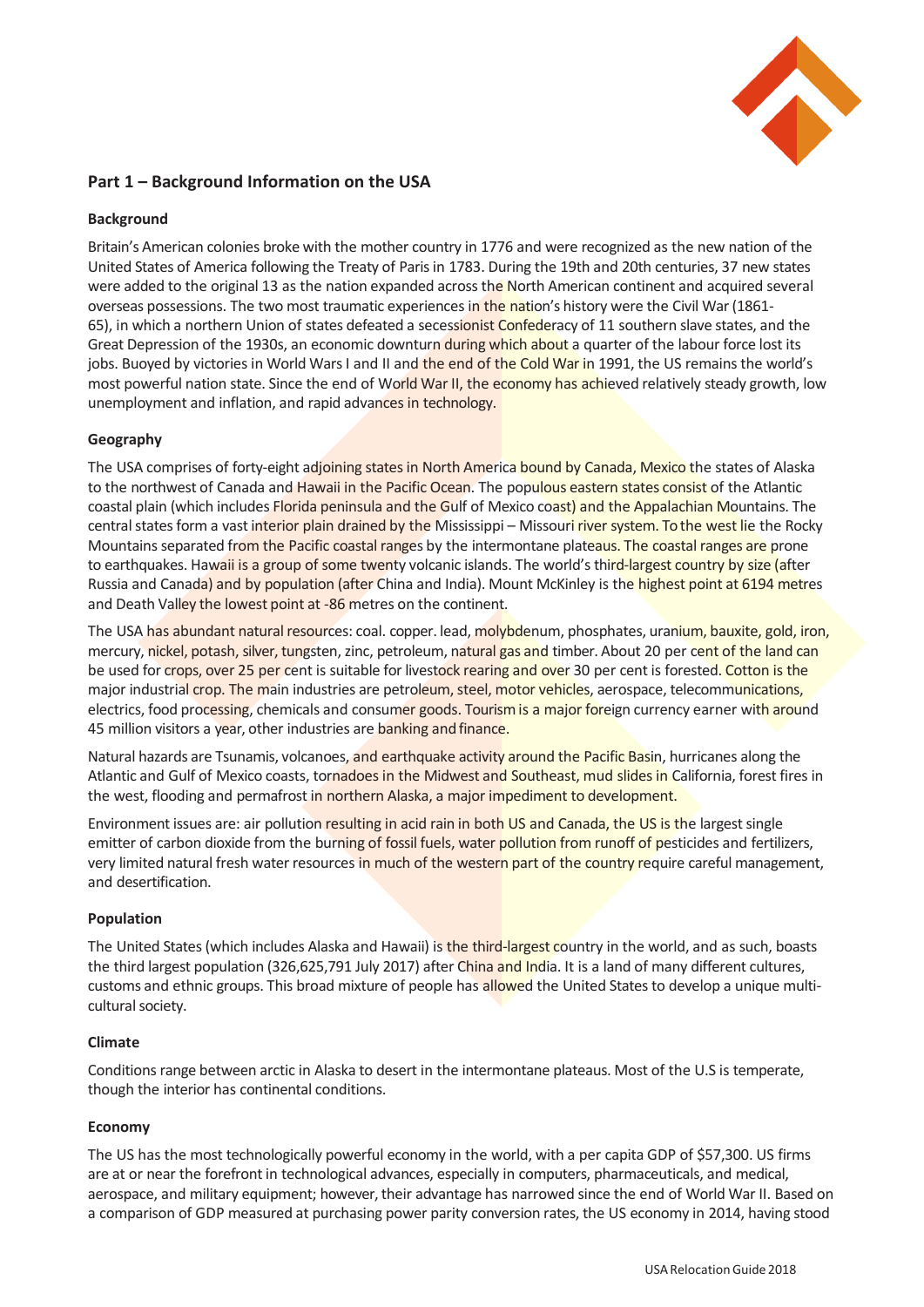

# **Part 1 – Background Information on the USA**

# **Background**

Britain's American colonies broke with the mother country in 1776 and were recognized as the new nation of the United States of America following the Treaty of Paris in 1783. During the 19th and 20th centuries, 37 new states were added to the original 13 as the nation expanded across the North American continent and acquired several overseas possessions. The two most traumatic experiences in the nation's history were the Civil War (1861-65), in which a northern Union of states defeated a secessionist Confederacy of 11 southern slave states, and the Great Depression of the 1930s, an economic downturn during which about a quarter of the labour force lost its jobs. Buoyed by victories in World Wars I and II and the end of the Cold War in 1991, the US remains the world's most powerful nation state. Since the end of World War II, the economy has achieved relatively steady growth, low unemployment and inflation, and rapid advances in technology.

# **Geography**

The USA comprises of forty-eight adjoining states in North America bound by Canada, Mexico the states of Alaska to the northwest of Canada and Hawaii in the Pacific Ocean. The populous eastern states consist of the Atlantic coastal plain (which includes Florida peninsula and the Gulf of Mexico coast) and the Appalachian Mountains. The central states form a vast interior plain drained by the Mississippi – Missouri river system. To the west lie the Rocky Mountains separated from the Pacific coastal ranges by the intermontane plateaus. The coastal ranges are prone to earthquakes. Hawaii is a group of some twenty volcanic islands. The world's third-largest country by size (after Russia and Canada) and by population (after China and India). Mount McKinley is the highest point at 6194 metres and Death Valley the lowest point at -86 metres on the continent.

The USA has abundant natural resources: coal. copper. lead, molybdenum, phosphates, uranium, bauxite, gold, iron, mercury, nickel, potash, silver, tungsten, zinc, petroleum, natural gas and timber. About 20 per cent of the land can be used for crops, over 25 per cent is suitable for livestock rearing and over 30 per cent is forested. Cotton is the major industrial crop. The main industries are petroleum, steel, motor vehicles, aerospace, telecommunications, electrics, food processing, chemicals and consumer goods. Tourism is a major foreign currency earner with around 45 million visitors a year, other industries are banking and finance.

Natural hazards are Tsunamis, volcanoes, and earthquake activity around the Pacific Basin, hurricanes along the Atlantic and Gulf of Mexico coasts, tornadoes in the Midwest and Southeast, mud slides in California, forest fires in the west, flooding and permafrost in northern Alaska, a major impediment to development.

Environment issues are: air pollution resulting in acid rain in both US and Canada, the US is the largest single emitter of carbon dioxide from the burning of fossil fuels, water pollution from runoff of pesticides and fertilizers, very limited natural fresh water resources in much of the western part of the country require careful management, and desertification.

### **Population**

The United States (which includes Alaska and Hawaii) is the third-largest country in the world, and as such, boasts the third largest population (326,625,791 July 2017) after China and India. It is a land of many different cultures, customs and ethnic groups. This broad mixture of people has allowed the United States to develop a unique multicultural society.

### **Climate**

Conditions range between arctic in Alaska to desert in the intermontane plateaus. Most of the U.S is temperate, though the interior has continental conditions.

### **Economy**

The US has the most technologically powerful economy in the world, with a per capita GDP of \$57,300. US firms are at or near the forefront in technological advances, especially in computers, pharmaceuticals, and medical, aerospace, and military equipment; however, their advantage has narrowed since the end of World War II. Based on a comparison of GDP measured at purchasing power parity conversion rates, the US economy in 2014, having stood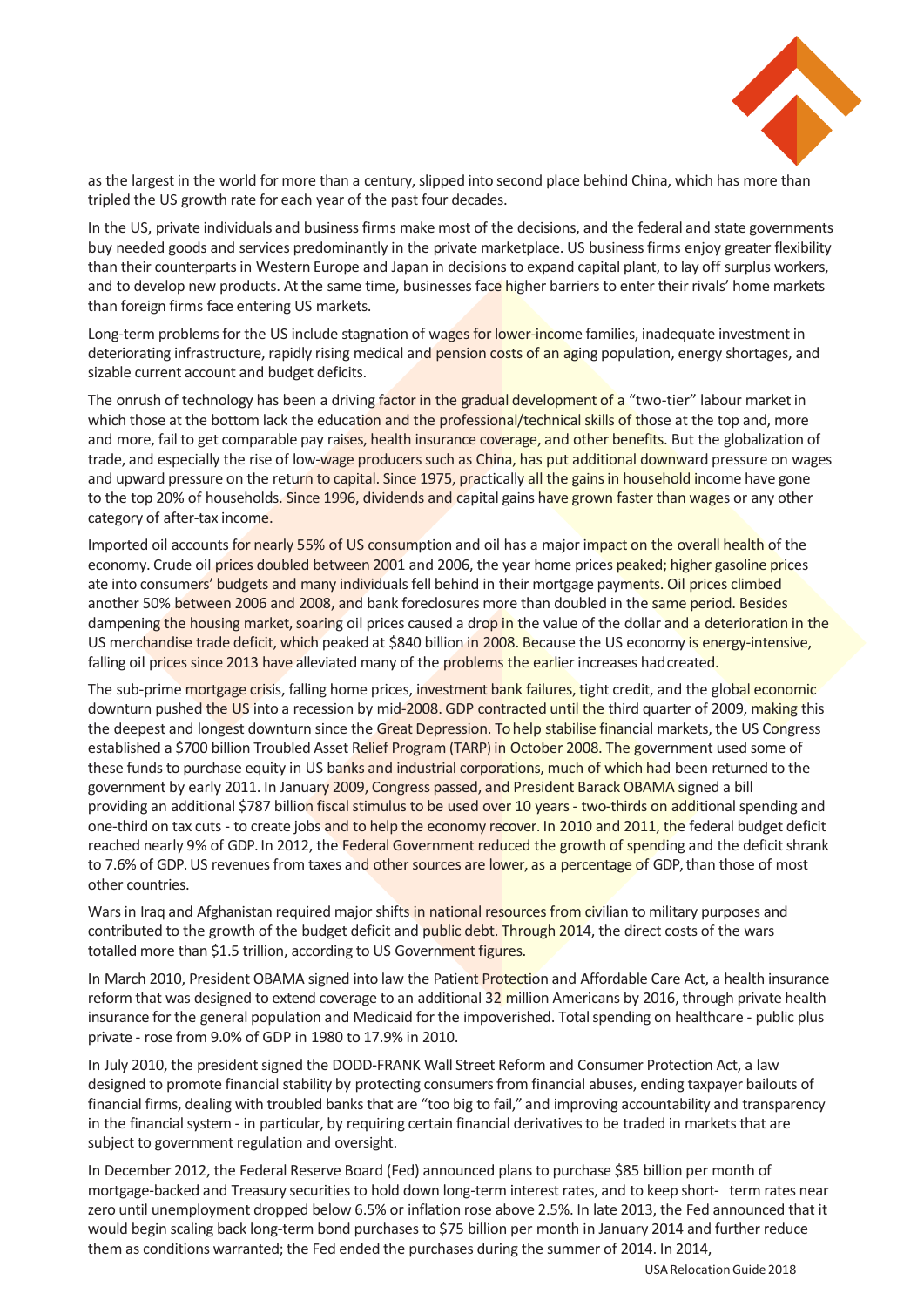

as the largest in the world for more than a century, slipped into second place behind China, which has more than tripled the US growth rate for each year of the past four decades.

In the US, private individuals and business firms make most of the decisions, and the federal and state governments buy needed goods and services predominantly in the private marketplace. US business firms enjoy greater flexibility than their counterparts in Western Europe and Japan in decisions to expand capital plant, to lay off surplus workers, and to develop new products. At the same time, businesses face higher barriers to enter their rivals' home markets than foreign firms face entering US markets.

Long-term problems for the US include stagnation of wages for lower-income families, inadequate investment in deteriorating infrastructure, rapidly rising medical and pension costs of an aging population, energy shortages, and sizable current account and budget deficits.

The onrush of technology has been a driving factor in the gradual development of a "two-tier" labour market in which those at the bottom lack the education and the professional/technical skills of those at the top and, more and more, fail to get comparable pay raises, health insurance coverage, and other benefits. But the globalization of trade, and especially the rise of low-wage producers such as China, has put additional downward pressure on wages and upward pressure on the return to capital. Since 1975, practically all the gains in household income have gone to the top 20% of households. Since 1996, dividends and capital gains have grown faster than wages or any other category of after-tax income.

Imported oil accounts for nearly 55% of US consumption and oil has a major impact on the overall health of the economy. Crude oil prices doubled between 2001 and 2006, the year home prices peaked; higher gasoline prices ate into consumers' budgets and many individuals fell behind in their mortgage payments. Oil prices climbed another 50% between 2006 and 2008, and bank foreclosures more than doubled in the same period. Besides dampening the housing market, soaring oil prices caused a drop in the value of the dollar and a deterioration in the US merchandise trade deficit, which peaked at \$840 billion in 2008. Because the US economy is energy-intensive, falling oil prices since 2013 have alleviated many of the problems the earlier increases hadcreated.

The sub-prime mortgage crisis, falling home prices, investment bank failures, tight credit, and the global economic downturn pushed the US into a recession by mid-2008. GDP contracted until the third quarter of 2009, making this the deepest and longest downturn since the Great Depression. To help stabilise financial markets, the US Congress established a \$700 billion Troubled Asset Relief Program (TARP) in October 2008. The government used some of these funds to purchase equity in US banks and industrial corporations, much of which had been returned to the government by early 2011. In January 2009, Congress passed, and President Barack OBAMA signed a bill providing an additional \$787 billion fiscal stimulus to be used over 10 years - two-thirds on additional spending and one-third on tax cuts - to create jobs and to help the economy recover. In 2010 and 2011, the federal budget deficit reached nearly 9% of GDP. In 2012, the Federal Government reduced the growth of spending and the deficit shrank to 7.6% of GDP. US revenues from taxes and other sources are lower, as a percentage of GDP, than those of most other countries.

Wars in Iraq and Afghanistan required major shifts in national resources from civilian to military purposes and contributed to the growth of the budget deficit and public debt. Through 2014, the direct costs of the wars totalled more than \$1.5 trillion, according to US Government figures.

In March 2010, President OBAMA signed into law the Patient Protection and Affordable Care Act, a health insurance reform that was designed to extend coverage to an additional 32 million Americans by 2016, through private health insurance for the general population and Medicaid for the impoverished. Total spending on healthcare - public plus private - rose from 9.0% of GDP in 1980 to 17.9% in 2010.

In July 2010, the president signed the DODD-FRANK Wall Street Reform and Consumer Protection Act, a law designed to promote financial stability by protecting consumers from financial abuses, ending taxpayer bailouts of financial firms, dealing with troubled banks that are "too big to fail," and improving accountability and transparency in the financial system - in particular, by requiring certain financial derivatives to be traded in markets that are subject to government regulation and oversight.

In December 2012, the Federal Reserve Board (Fed) announced plans to purchase \$85 billion per month of mortgage-backed and Treasury securities to hold down long-term interest rates, and to keep short- term rates near zero until unemployment dropped below 6.5% or inflation rose above 2.5%. In late 2013, the Fed announced that it would begin scaling back long-term bond purchases to \$75 billion per month in January 2014 and further reduce them as conditions warranted; the Fed ended the purchases during the summer of 2014. In 2014,

USA Relocation Guide 2018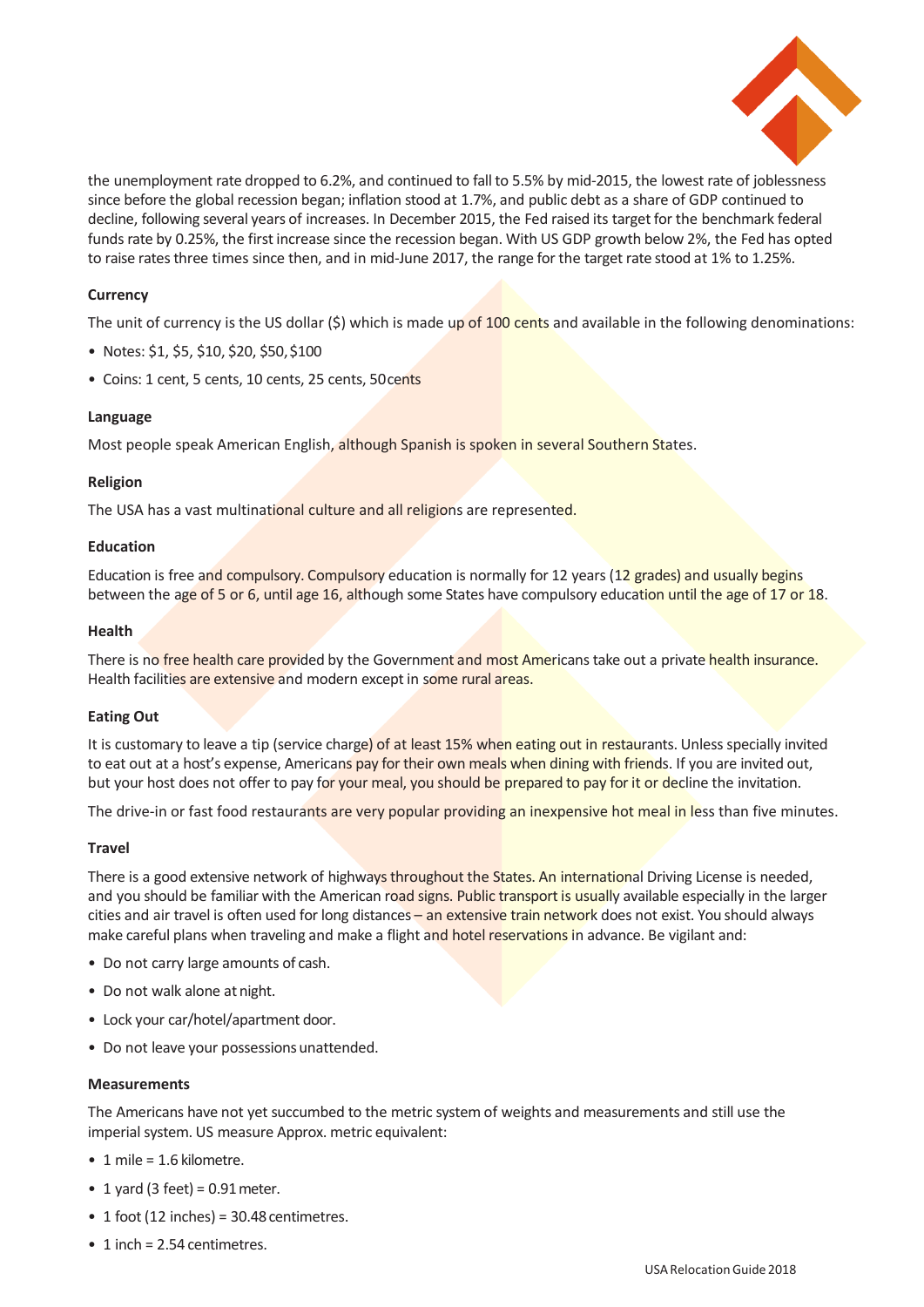

the unemployment rate dropped to 6.2%, and continued to fall to 5.5% by mid-2015, the lowest rate of joblessness since before the global recession began; inflation stood at 1.7%, and public debt as a share of GDP continued to decline, following several years of increases. In December 2015, the Fed raised its target for the benchmark federal funds rate by 0.25%, the first increase since the recession began. With US GDP growth below 2%, the Fed has opted to raise rates three times since then, and in mid-June 2017, the range for the target rate stood at 1% to 1.25%.

# **Currency**

The unit of currency is the US dollar (\$) which is made up of 100 cents and available in the following denominations:

- Notes: \$1, \$5, \$10, \$20, \$50,\$100
- Coins: 1 cent, 5 cents, 10 cents, 25 cents, 50 cents

### **Language**

Most people speak American English, although Spanish is spoken in several Southern States.

# **Religion**

The USA has a vast multinational culture and all religions are represented.

# **Education**

Education is free and compulsory. Compulsory education is normally for 12 years (12 grades) and usually begins between the age of 5 or 6, until age 16, although some States have compulsory education until the age of 17 or 18.

# **Health**

There is no free health care provided by the Government and most Americans take out a private health insurance. Health facilities are extensive and modern except in some rural areas.

# **Eating Out**

It is customary to leave a tip (service charge) of at least 15% when eating out in restaurants. Unless specially invited to eat out at a host's expense, Americans pay for their own meals when dining with friends. If you are invited out, but your host does not offer to pay for your meal, you should be prepared to pay for it or decline the invitation.

The drive-in or fast food restaurants are very popular providing an inexpensive hot meal in less than five minutes.

# **Travel**

There is a good extensive network of highways throughout the States. An international Driving License is needed, and you should be familiar with the American road signs. Public transport is usually available especially in the larger cities and air travel is often used for long distances - an extensive train network does not exist. You should always make careful plans when traveling and make a flight and hotel reservations in advance. Be vigilant and:

- Do not carry large amounts of cash.
- Do not walk alone at night.
- Lock your car/hotel/apartment door.
- Do not leave your possessions unattended.

### **Measurements**

The Americans have not yet succumbed to the metric system of weights and measurements and still use the imperial system. US measure Approx. metric equivalent:

- 1 mile = 1.6 kilometre.
- 1 yard (3 feet) =  $0.91$  meter.
- 1 foot (12 inches) =  $30.48$  centimetres.
- 1 inch = 2.54 centimetres.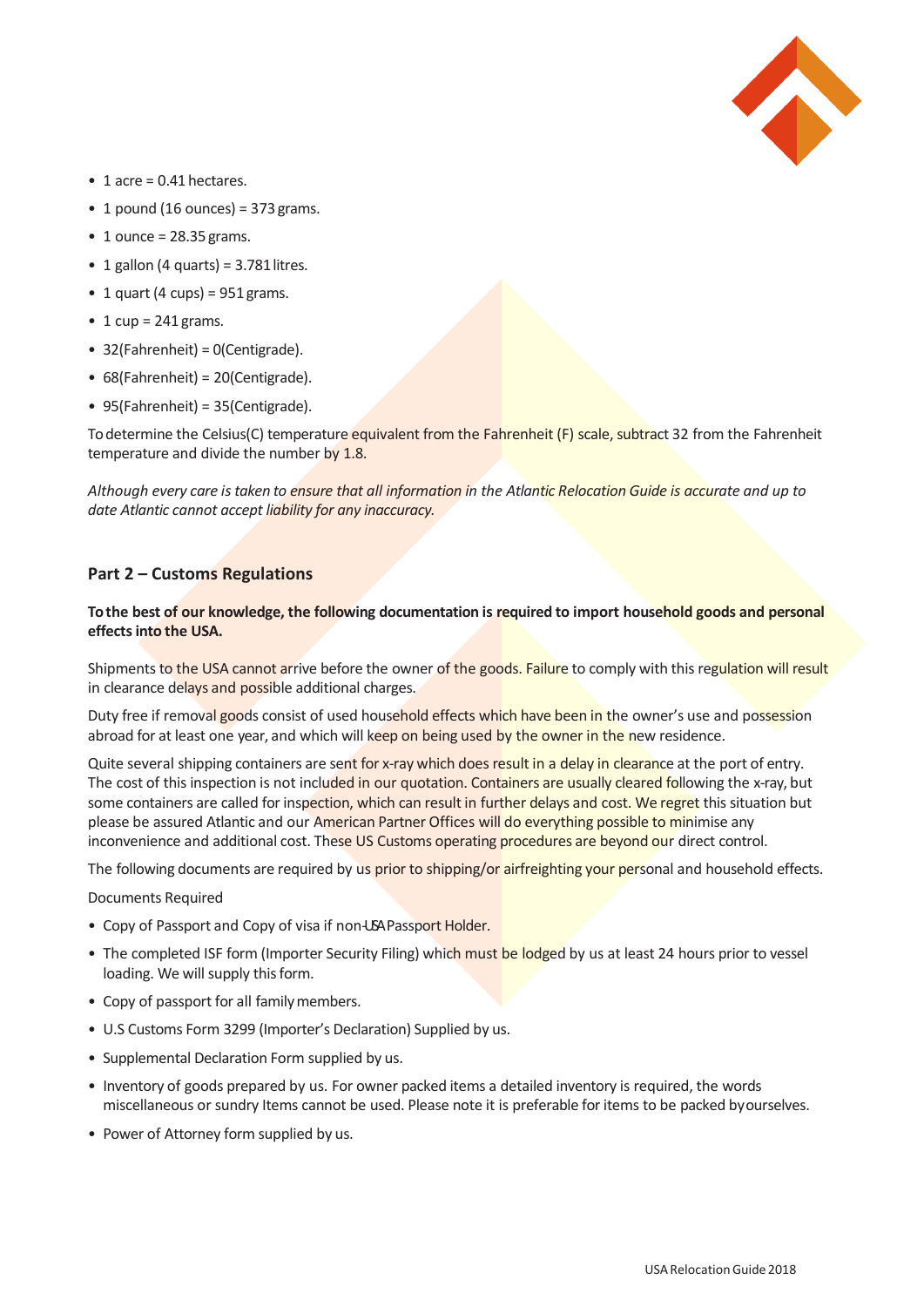

- $\bullet$  1 acre = 0.41 hectares.
- 1 pound (16 ounces) =  $373$  grams.
- $\bullet$  1 ounce = 28.35 grams.
- 1 gallon (4 quarts) =  $3.781$  litres.
- 1 quart (4 cups) =  $951$  grams.
- 1 cup =  $241$  grams.
- 32(Fahrenheit) = 0(Centigrade).
- 68(Fahrenheit) = 20(Centigrade).
- 95(Fahrenheit) = 35(Centigrade).

To determine the Celsius(C) temperature equivalent from the Fahrenheit (F) scale, subtract 32 from the Fahrenheit temperature and divide the number by 1.8.

*Although every care is taken to ensure that all information in the Atlantic Relocation Guide is accurate and up to date Atlantic cannot accept liability for any inaccuracy.*

# **Part 2 – Customs Regulations**

## **To the best of our knowledge, the following documentation is required to import household goods and personal effects into the USA.**

Shipments to the USA cannot arrive before the owner of the goods. Failure to comply with this regulation will result in clearance delays and possible additional charges.

Duty free if removal goods consist of used household effects which have been in the owner's use and possession abroad for at least one year, and which will keep on being used by the owner in the new residence.

Quite several shipping containers are sent for x-ray which does result in a delay in clearance at the port of entry. The cost of this inspection is not included in our quotation. Containers are usually cleared following the x-ray, but some containers are called for inspection, which can result in further delays and cost. We regret this situation but please be assured Atlantic and our American Partner Offices will do everything possible to minimise any inconvenience and additional cost. These US Customs operating procedures are beyond our direct control.

The following documents are required by us prior to shipping/or airfreighting your personal and household effects.

Documents Required

- Copy of Passport and Copy of visa if non-USA Passport Holder.
- The completed ISF form (Importer Security Filing) which must be lodged by us at least 24 hours prior to vessel loading. We will supply this form.
- Copy of passport for all family members.
- U.S Customs Form 3299 (Importer's Declaration) Supplied by us.
- Supplemental Declaration Form supplied by us.
- Inventory of goods prepared by us. For owner packed items a detailed inventory is required, the words miscellaneous or sundry Items cannot be used. Please note it is preferable for items to be packed byourselves.
- Power of Attorney form supplied by us.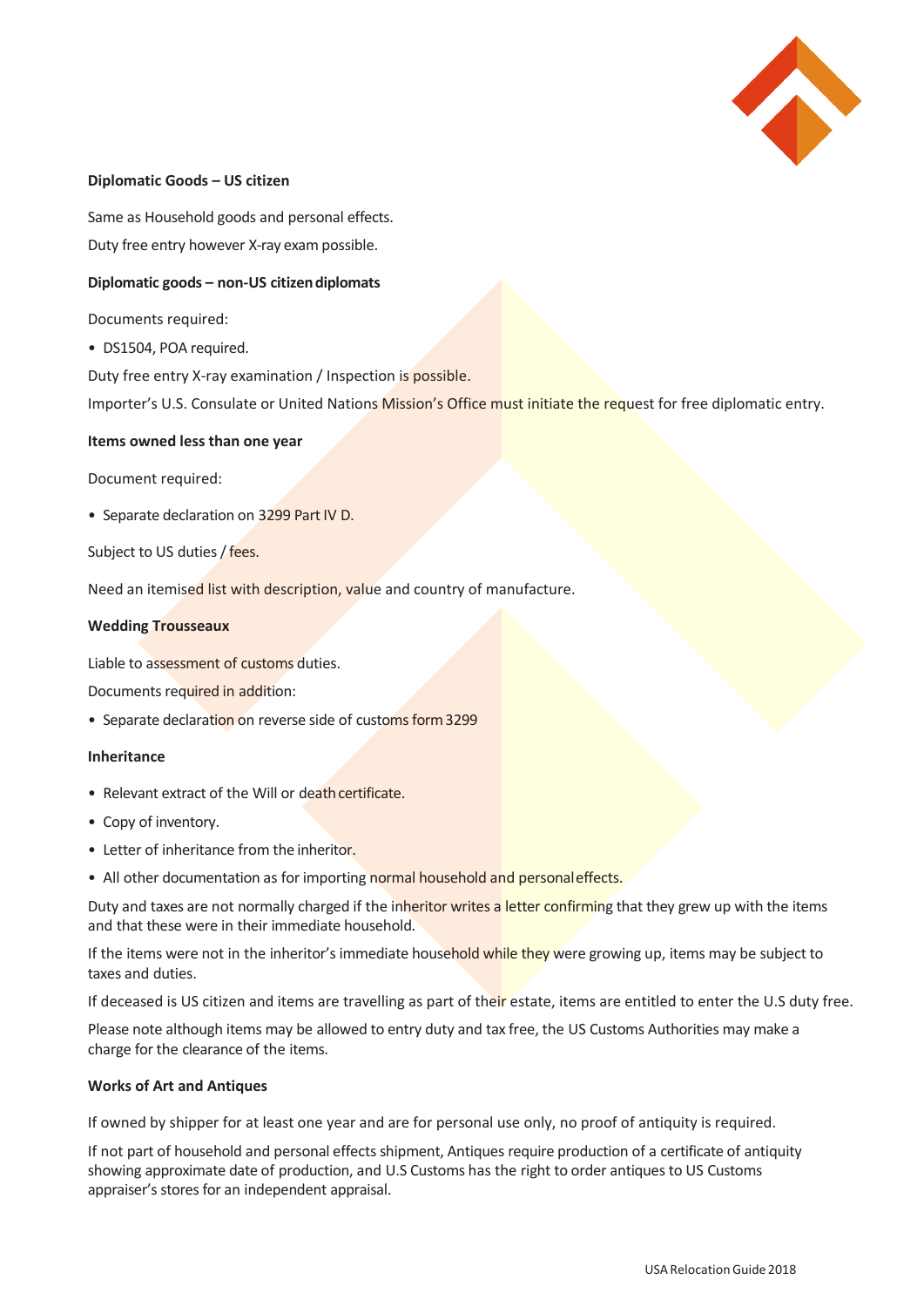

# **Diplomatic Goods – US citizen**

Same as Household goods and personal effects. Duty free entry however X-ray exam possible.

# **Diplomatic goods – non-US citizendiplomats**

Documents required:

• DS1504, POA required.

Duty free entry X-ray examination / Inspection is possible.

Importer's U.S. Consulate or United Nations Mission's Office must initiate the request for free diplomatic entry.

### **Items owned less than one year**

Document required:

• Separate declaration on 3299 Part IV D.

Subject to US duties / fees.

Need an itemised list with description, value and country of manufacture.

### **Wedding Trousseaux**

Liable to assessment of customs duties.

Documents required in addition:

• Separate declaration on reverse side of customs form 3299

### **Inheritance**

- Relevant extract of the Will or death certificate.
- Copy of inventory.
- Letter of inheritance from the inheritor.
- All other documentation as for importing normal household and personal effects.

Duty and taxes are not normally charged if the inheritor writes a letter confirming that they grew up with the items and that these were in their immediate household.

If the items were not in the inheritor's immediate household while they were growing up, items may be subject to taxes and duties.

If deceased is US citizen and items are travelling as part of their estate, items are entitled to enter the U.S duty free.

Please note although items may be allowed to entry duty and tax free, the US Customs Authorities may make a charge for the clearance of the items.

### **Works of Art and Antiques**

If owned by shipper for at least one year and are for personal use only, no proof of antiquity is required.

If not part of household and personal effects shipment, Antiques require production of a certificate of antiquity showing approximate date of production, and U.S Customs has the right to order antiques to US Customs appraiser's stores for an independent appraisal.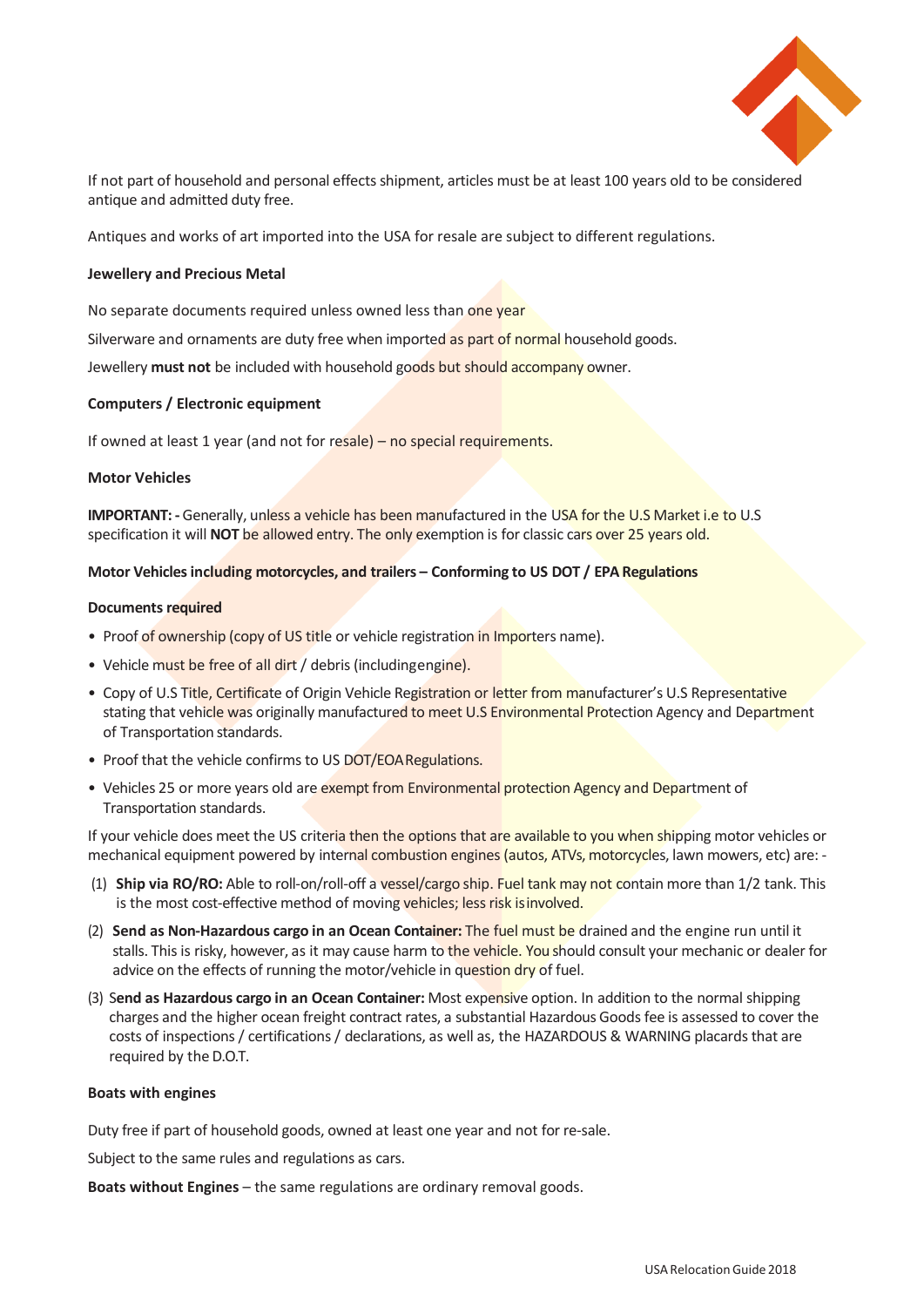

If not part of household and personal effects shipment, articles must be at least 100 years old to be considered antique and admitted duty free.

Antiques and works of art imported into the USA for resale are subject to different regulations.

### **Jewellery and Precious Metal**

No separate documents required unless owned less than one year

Silverware and ornaments are duty free when imported as part of normal household goods.

Jewellery **must not** be included with household goods but should accompany owner.

### **Computers / Electronic equipment**

If owned at least 1 year (and not for resale) – no special requirements.

#### **Motor Vehicles**

**IMPORTANT:** - Generally, unless a vehicle has been manufactured in the USA for the U.S Market i.e to U.S specification it will **NOT** be allowed entry. The only exemption is for classic cars over 25 years old.

#### **Motor Vehicles including motorcycles, and trailers – Conforming to US DOT / EPA Regulations**

#### **Documents required**

- Proof of ownership (copy of US title or vehicle registration in Importers name).
- Vehicle must be free of all dirt / debris (includingengine).
- Copy of U.S Title, Certificate of Origin Vehicle Registration or letter from manufacturer's U.S Representative stating that vehicle was originally manufactured to meet U.S Environmental Protection Agency and Department of Transportation standards.
- Proof that the vehicle confirms to US DOT/EOA Regulations.
- Vehicles 25 or more years old are exempt from Environmental protection Agency and Department of Transportation standards.

If your vehicle does meet the US criteria then the options that are available to you when shipping motor vehicles or mechanical equipment powered by internal combustion engines (autos, ATVs, motorcycles, lawn mowers, etc) are: -

- (1) **Ship via RO/RO:** Able to roll-on/roll-off a vessel/cargo ship. Fuel tank may not contain more than 1/2 tank. This is the most cost-effective method of moving vehicles; less risk is involved.
- (2) **Send as Non-Hazardous cargo in an Ocean Container:** The fuel must be drained and the engine run until it stalls. This is risky, however, as it may cause harm to the vehicle. You should consult your mechanic or dealer for advice on the effects of running the motor/vehicle in question dry of fuel.
- (3) S**end as Hazardous cargo in an Ocean Container:** Most expensive option. In addition to the normal shipping charges and the higher ocean freight contract rates, a substantial Hazardous Goods fee is assessed to cover the costs of inspections / certifications / declarations, as well as, the HAZARDOUS & WARNING placards that are required by the D.O.T.

#### **Boats with engines**

Duty free if part of household goods, owned at least one year and not for re-sale.

Subject to the same rules and regulations as cars.

**Boats without Engines** – the same regulations are ordinary removal goods.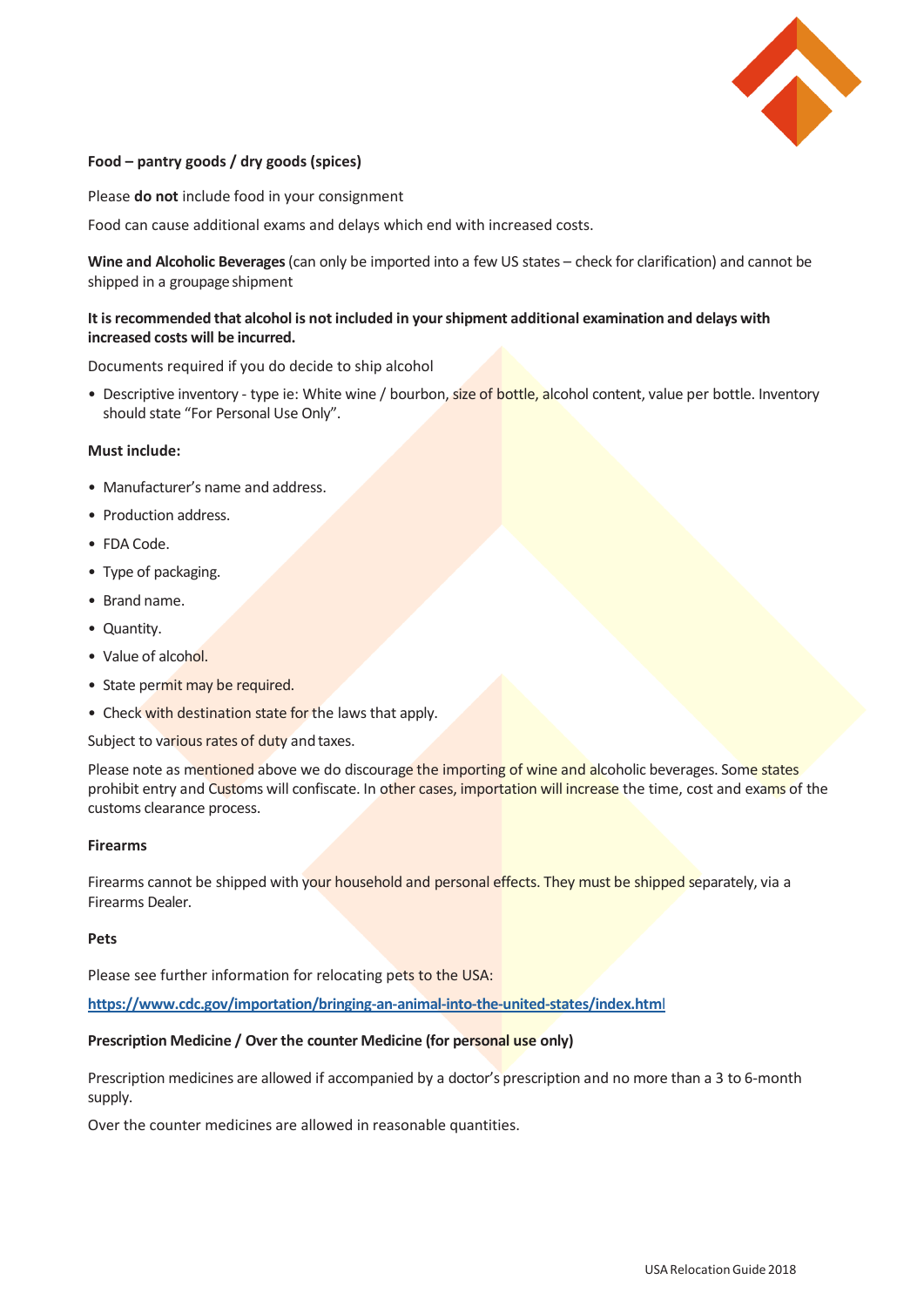

# **Food – pantry goods / dry goods (spices)**

Please **do not** include food in your consignment

Food can cause additional exams and delays which end with increased costs.

**Wine and Alcoholic Beverages** (can only be imported into a few US states – check for clarification) and cannot be shipped in a groupage shipment

# **It isrecommended that alcohol is not included in yourshipment additional examination and delays with increased costs will be incurred.**

Documents required if you do decide to ship alcohol

• Descriptive inventory - type ie: White wine / bourbon, size of bottle, alcohol content, value per bottle. Inventory should state "For Personal Use Only".

# **Must include:**

- Manufacturer's name and address.
- Production address.
- FDA Code.
- Type of packaging.
- Brand name.
- Quantity.
- Value of alcohol.
- State permit may be required.
- Check with destination state for the laws that apply.

Subject to various rates of duty and taxes.

Please note as mentioned above we do discourage the importing of wine and alcoholic beverages. Some states prohibit entry and Customs will confiscate. In other cases, importation will increase the time, cost and exams of the customs clearance process.

#### **Firearms**

Firearms cannot be shipped with your household and personal effects. They must be shipped separately, via a Firearms Dealer.

#### **Pets**

Please see further information for relocating pets to the USA:

**[https://www.cdc.gov/importation/bringing-an-animal-into-the-united-states/index.htm](https://www.cdc.gov/importation/bringing-an-animal-into-the-united-states/index.html)**l

### **Prescription Medicine / Over the counter Medicine (for personal use only)**

Prescription medicines are allowed if accompanied by a doctor's prescription and no more than a 3 to 6-month supply.

Over the counter medicines are allowed in reasonable quantities.